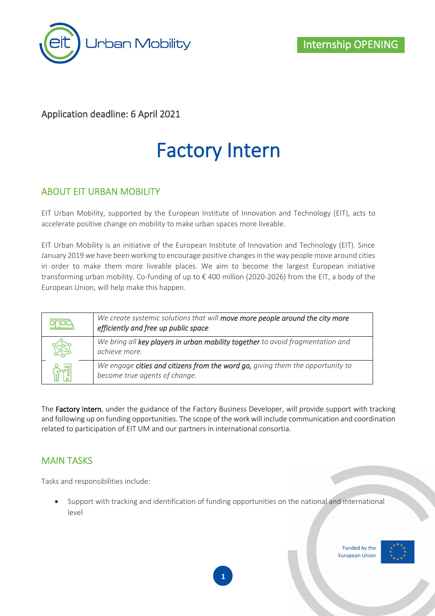

#### Application deadline: 6 April 2021

# Factory Intern

#### ABOUT EIT URBAN MOBILITY

EIT Urban Mobility, supported by the European Institute of Innovation and Technology (EIT), acts to accelerate positive change on mobility to make urban spaces more liveable.

EIT Urban Mobility is an initiative of the European Institute of Innovation and Technology (EIT). Since January 2019 we have been working to encourage positive changes in the way people move around cities in order to make them more liveable places. We aim to become the largest European initiative transforming urban mobility. Co-funding of up to € 400 million (2020-2026) from the EIT, a body of the European Union, will help make this happen.

| We create systemic solutions that will move more people around the city more<br>efficiently and free up public space. |
|-----------------------------------------------------------------------------------------------------------------------|
| We bring all key players in urban mobility together to avoid fragmentation and<br>achieve more.                       |
| We engage cities and citizens from the word go, giving them the opportunity to<br>become true agents of change.       |

The Factory Intern, under the guidance of the Factory Business Developer, will provide support with tracking and following up on funding opportunities. The scope of the work will include communication and coordination related to participation of EIT UM and our partners in international consortia.

#### MAIN TASKS

Tasks and responsibilities include:

• Support with tracking and identification of funding opportunities on the national and international level

> Funded by the **European Union**



**1**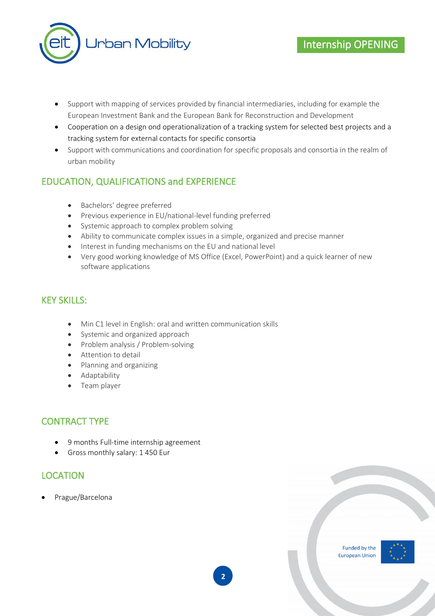

- Support with mapping of services provided by financial intermediaries, including for example the European Investment Bank and the European Bank for Reconstruction and Development
- Cooperation on a design ond operationalization of a tracking system for selected best projects and a tracking system for external contacts for specific consortia
- Support with communications and coordination for specific proposals and consortia in the realm of urban mobility

### EDUCATION, QUALIFICATIONS and EXPERIENCE

- Bachelors' degree preferred
- Previous experience in EU/national-level funding preferred
- Systemic approach to complex problem solving
- Ability to communicate complex issues in a simple, organized and precise manner
- Interest in funding mechanisms on the EU and national level
- Very good working knowledge of MS Office (Excel, PowerPoint) and a quick learner of new software applications

#### KEY SKILLS:

- Min C1 level in English: oral and written communication skills
- Systemic and organized approach
- Problem analysis / Problem-solving
- Attention to detail
- Planning and organizing
- Adaptability
- Team player

#### CONTRACT TYPE

- 9 months Full-time internship agreement
- Gross monthly salary: 1 450 Eur

#### LOCATION

• Prague/Barcelona



Internship OPENING